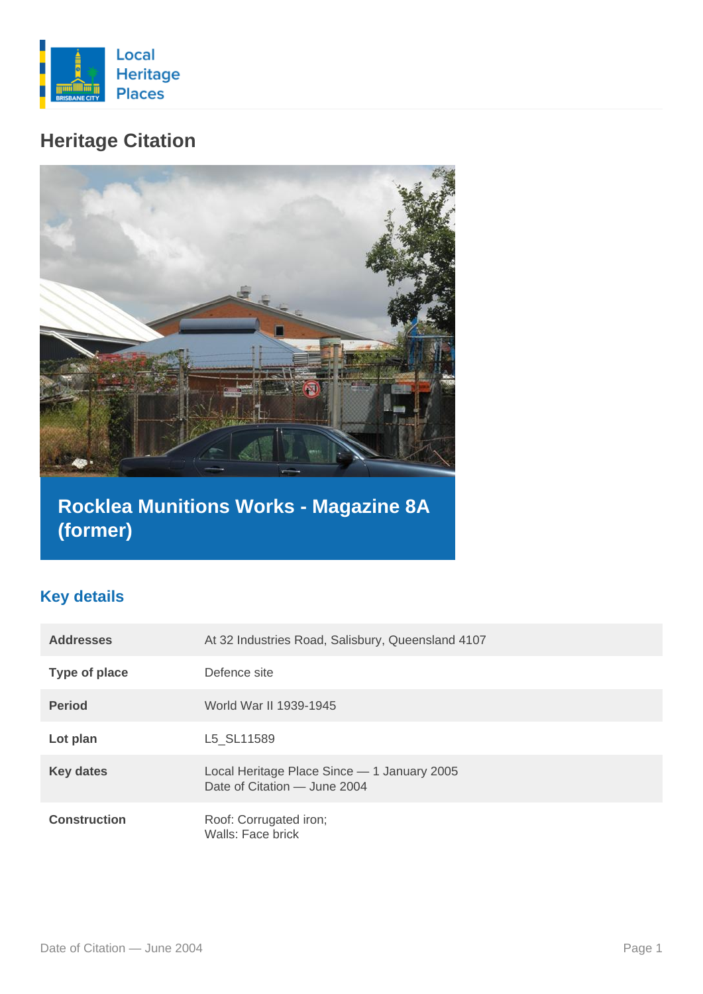

# **Heritage Citation**



# **Rocklea Munitions Works - Magazine 8A (former)**

### **Key details**

| <b>Addresses</b>    | At 32 Industries Road, Salisbury, Queensland 4107                           |
|---------------------|-----------------------------------------------------------------------------|
| Type of place       | Defence site                                                                |
| <b>Period</b>       | World War II 1939-1945                                                      |
| Lot plan            | L5 SL11589                                                                  |
| <b>Key dates</b>    | Local Heritage Place Since - 1 January 2005<br>Date of Citation - June 2004 |
| <b>Construction</b> | Roof: Corrugated iron;<br>Walls: Face brick                                 |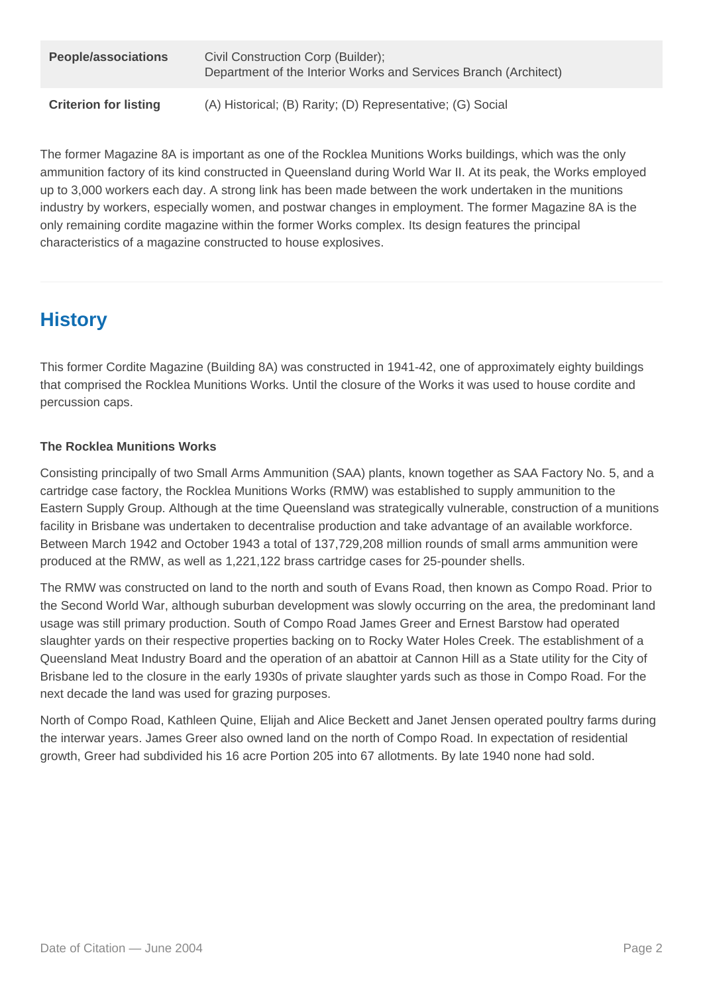| <b>People/associations</b>   | Civil Construction Corp (Builder);<br>Department of the Interior Works and Services Branch (Architect) |
|------------------------------|--------------------------------------------------------------------------------------------------------|
| <b>Criterion for listing</b> | (A) Historical; (B) Rarity; (D) Representative; (G) Social                                             |

The former Magazine 8A is important as one of the Rocklea Munitions Works buildings, which was the only ammunition factory of its kind constructed in Queensland during World War II. At its peak, the Works employed up to 3,000 workers each day. A strong link has been made between the work undertaken in the munitions industry by workers, especially women, and postwar changes in employment. The former Magazine 8A is the only remaining cordite magazine within the former Works complex. Its design features the principal characteristics of a magazine constructed to house explosives.

## **History**

This former Cordite Magazine (Building 8A) was constructed in 1941-42, one of approximately eighty buildings that comprised the Rocklea Munitions Works. Until the closure of the Works it was used to house cordite and percussion caps.

### **The Rocklea Munitions Works**

Consisting principally of two Small Arms Ammunition (SAA) plants, known together as SAA Factory No. 5, and a cartridge case factory, the Rocklea Munitions Works (RMW) was established to supply ammunition to the Eastern Supply Group. Although at the time Queensland was strategically vulnerable, construction of a munitions facility in Brisbane was undertaken to decentralise production and take advantage of an available workforce. Between March 1942 and October 1943 a total of 137,729,208 million rounds of small arms ammunition were produced at the RMW, as well as 1,221,122 brass cartridge cases for 25-pounder shells.

The RMW was constructed on land to the north and south of Evans Road, then known as Compo Road. Prior to the Second World War, although suburban development was slowly occurring on the area, the predominant land usage was still primary production. South of Compo Road James Greer and Ernest Barstow had operated slaughter yards on their respective properties backing on to Rocky Water Holes Creek. The establishment of a Queensland Meat Industry Board and the operation of an abattoir at Cannon Hill as a State utility for the City of Brisbane led to the closure in the early 1930s of private slaughter yards such as those in Compo Road. For the next decade the land was used for grazing purposes.

North of Compo Road, Kathleen Quine, Elijah and Alice Beckett and Janet Jensen operated poultry farms during the interwar years. James Greer also owned land on the north of Compo Road. In expectation of residential growth, Greer had subdivided his 16 acre Portion 205 into 67 allotments. By late 1940 none had sold.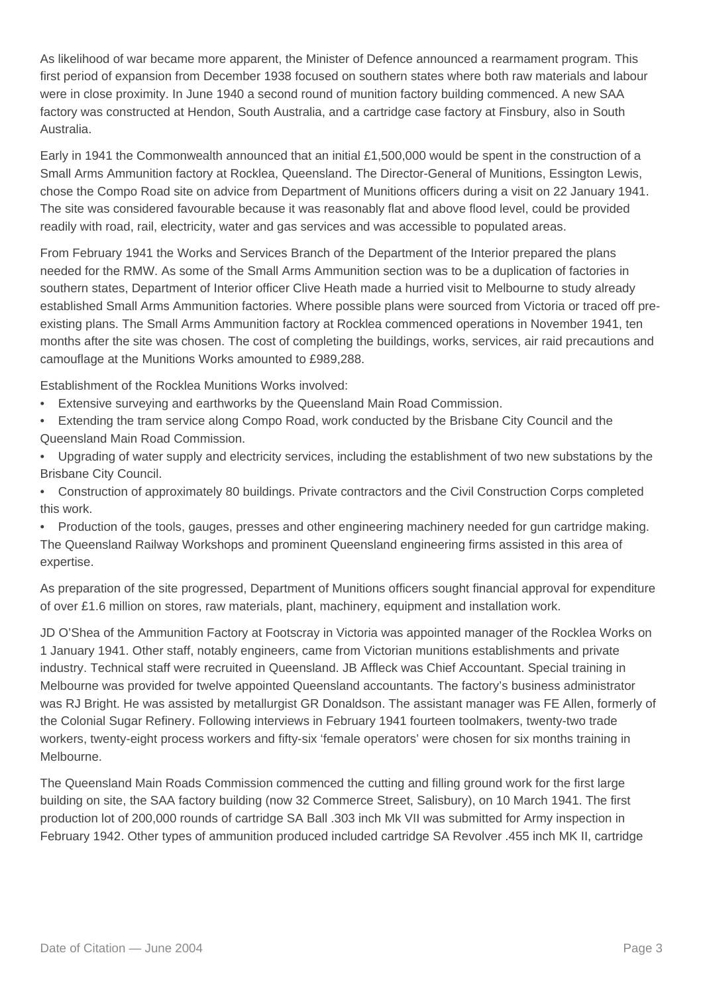As likelihood of war became more apparent, the Minister of Defence announced a rearmament program. This first period of expansion from December 1938 focused on southern states where both raw materials and labour were in close proximity. In June 1940 a second round of munition factory building commenced. A new SAA factory was constructed at Hendon, South Australia, and a cartridge case factory at Finsbury, also in South Australia.

Early in 1941 the Commonwealth announced that an initial £1,500,000 would be spent in the construction of a Small Arms Ammunition factory at Rocklea, Queensland. The Director-General of Munitions, Essington Lewis, chose the Compo Road site on advice from Department of Munitions officers during a visit on 22 January 1941. The site was considered favourable because it was reasonably flat and above flood level, could be provided readily with road, rail, electricity, water and gas services and was accessible to populated areas.

From February 1941 the Works and Services Branch of the Department of the Interior prepared the plans needed for the RMW. As some of the Small Arms Ammunition section was to be a duplication of factories in southern states, Department of Interior officer Clive Heath made a hurried visit to Melbourne to study already established Small Arms Ammunition factories. Where possible plans were sourced from Victoria or traced off preexisting plans. The Small Arms Ammunition factory at Rocklea commenced operations in November 1941, ten months after the site was chosen. The cost of completing the buildings, works, services, air raid precautions and camouflage at the Munitions Works amounted to £989,288.

Establishment of the Rocklea Munitions Works involved:

- Extensive surveying and earthworks by the Queensland Main Road Commission.
- Extending the tram service along Compo Road, work conducted by the Brisbane City Council and the Queensland Main Road Commission.
- Upgrading of water supply and electricity services, including the establishment of two new substations by the Brisbane City Council.
- Construction of approximately 80 buildings. Private contractors and the Civil Construction Corps completed this work.

• Production of the tools, gauges, presses and other engineering machinery needed for gun cartridge making. The Queensland Railway Workshops and prominent Queensland engineering firms assisted in this area of expertise.

As preparation of the site progressed, Department of Munitions officers sought financial approval for expenditure of over £1.6 million on stores, raw materials, plant, machinery, equipment and installation work.

JD O'Shea of the Ammunition Factory at Footscray in Victoria was appointed manager of the Rocklea Works on 1 January 1941. Other staff, notably engineers, came from Victorian munitions establishments and private industry. Technical staff were recruited in Queensland. JB Affleck was Chief Accountant. Special training in Melbourne was provided for twelve appointed Queensland accountants. The factory's business administrator was RJ Bright. He was assisted by metallurgist GR Donaldson. The assistant manager was FE Allen, formerly of the Colonial Sugar Refinery. Following interviews in February 1941 fourteen toolmakers, twenty-two trade workers, twenty-eight process workers and fifty-six 'female operators' were chosen for six months training in Melbourne.

The Queensland Main Roads Commission commenced the cutting and filling ground work for the first large building on site, the SAA factory building (now 32 Commerce Street, Salisbury), on 10 March 1941. The first production lot of 200,000 rounds of cartridge SA Ball .303 inch Mk VII was submitted for Army inspection in February 1942. Other types of ammunition produced included cartridge SA Revolver .455 inch MK II, cartridge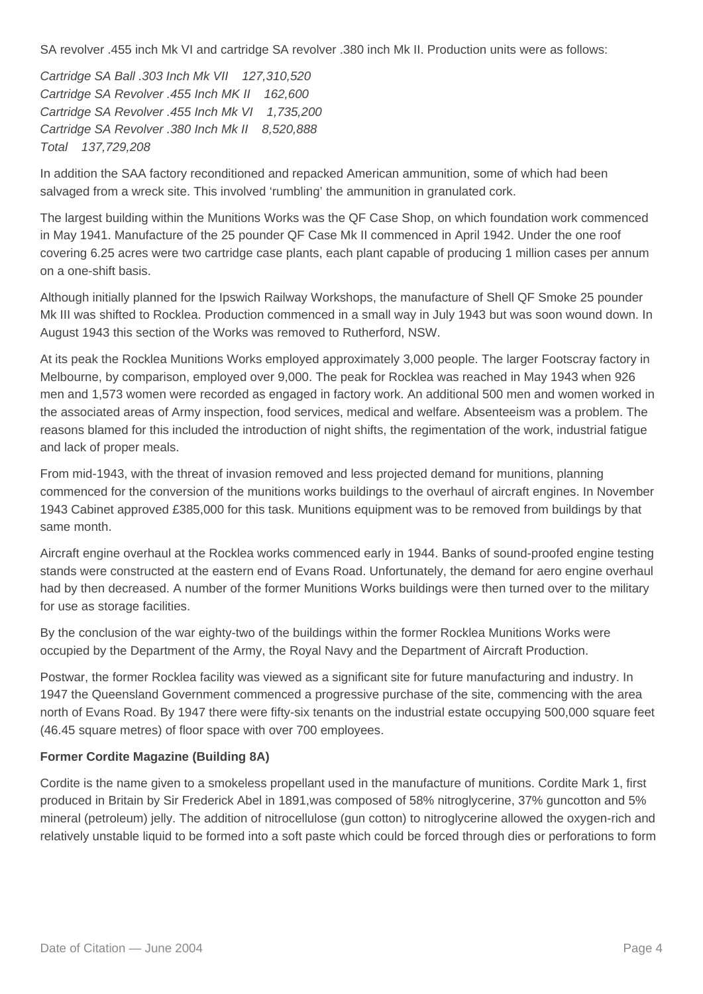SA revolver .455 inch Mk VI and cartridge SA revolver .380 inch Mk II. Production units were as follows:

Cartridge SA Ball .303 Inch Mk VII 127,310,520 Cartridge SA Revolver .455 Inch MK II 162,600 Cartridge SA Revolver .455 Inch Mk VI 1,735,200 Cartridge SA Revolver .380 Inch Mk II 8,520,888 Total 137,729,208

In addition the SAA factory reconditioned and repacked American ammunition, some of which had been salvaged from a wreck site. This involved 'rumbling' the ammunition in granulated cork.

The largest building within the Munitions Works was the QF Case Shop, on which foundation work commenced in May 1941. Manufacture of the 25 pounder QF Case Mk II commenced in April 1942. Under the one roof covering 6.25 acres were two cartridge case plants, each plant capable of producing 1 million cases per annum on a one-shift basis.

Although initially planned for the Ipswich Railway Workshops, the manufacture of Shell QF Smoke 25 pounder Mk III was shifted to Rocklea. Production commenced in a small way in July 1943 but was soon wound down. In August 1943 this section of the Works was removed to Rutherford, NSW.

At its peak the Rocklea Munitions Works employed approximately 3,000 people. The larger Footscray factory in Melbourne, by comparison, employed over 9,000. The peak for Rocklea was reached in May 1943 when 926 men and 1,573 women were recorded as engaged in factory work. An additional 500 men and women worked in the associated areas of Army inspection, food services, medical and welfare. Absenteeism was a problem. The reasons blamed for this included the introduction of night shifts, the regimentation of the work, industrial fatigue and lack of proper meals.

From mid-1943, with the threat of invasion removed and less projected demand for munitions, planning commenced for the conversion of the munitions works buildings to the overhaul of aircraft engines. In November 1943 Cabinet approved £385,000 for this task. Munitions equipment was to be removed from buildings by that same month.

Aircraft engine overhaul at the Rocklea works commenced early in 1944. Banks of sound-proofed engine testing stands were constructed at the eastern end of Evans Road. Unfortunately, the demand for aero engine overhaul had by then decreased. A number of the former Munitions Works buildings were then turned over to the military for use as storage facilities.

By the conclusion of the war eighty-two of the buildings within the former Rocklea Munitions Works were occupied by the Department of the Army, the Royal Navy and the Department of Aircraft Production.

Postwar, the former Rocklea facility was viewed as a significant site for future manufacturing and industry. In 1947 the Queensland Government commenced a progressive purchase of the site, commencing with the area north of Evans Road. By 1947 there were fifty-six tenants on the industrial estate occupying 500,000 square feet (46.45 square metres) of floor space with over 700 employees.

#### **Former Cordite Magazine (Building 8A)**

Cordite is the name given to a smokeless propellant used in the manufacture of munitions. Cordite Mark 1, first produced in Britain by Sir Frederick Abel in 1891,was composed of 58% nitroglycerine, 37% guncotton and 5% mineral (petroleum) jelly. The addition of nitrocellulose (gun cotton) to nitroglycerine allowed the oxygen-rich and relatively unstable liquid to be formed into a soft paste which could be forced through dies or perforations to form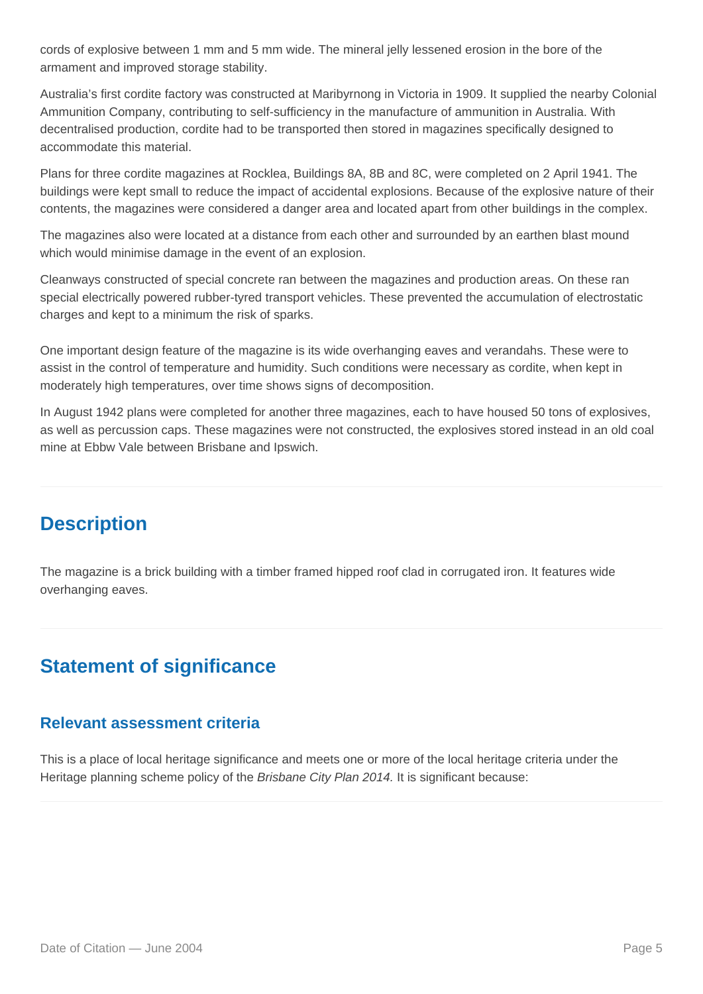cords of explosive between 1 mm and 5 mm wide. The mineral jelly lessened erosion in the bore of the armament and improved storage stability.

Australia's first cordite factory was constructed at Maribyrnong in Victoria in 1909. It supplied the nearby Colonial Ammunition Company, contributing to self-sufficiency in the manufacture of ammunition in Australia. With decentralised production, cordite had to be transported then stored in magazines specifically designed to accommodate this material.

Plans for three cordite magazines at Rocklea, Buildings 8A, 8B and 8C, were completed on 2 April 1941. The buildings were kept small to reduce the impact of accidental explosions. Because of the explosive nature of their contents, the magazines were considered a danger area and located apart from other buildings in the complex.

The magazines also were located at a distance from each other and surrounded by an earthen blast mound which would minimise damage in the event of an explosion.

Cleanways constructed of special concrete ran between the magazines and production areas. On these ran special electrically powered rubber-tyred transport vehicles. These prevented the accumulation of electrostatic charges and kept to a minimum the risk of sparks.

One important design feature of the magazine is its wide overhanging eaves and verandahs. These were to assist in the control of temperature and humidity. Such conditions were necessary as cordite, when kept in moderately high temperatures, over time shows signs of decomposition.

In August 1942 plans were completed for another three magazines, each to have housed 50 tons of explosives, as well as percussion caps. These magazines were not constructed, the explosives stored instead in an old coal mine at Ebbw Vale between Brisbane and Ipswich.

## **Description**

The magazine is a brick building with a timber framed hipped roof clad in corrugated iron. It features wide overhanging eaves.

## **Statement of significance**

### **Relevant assessment criteria**

This is a place of local heritage significance and meets one or more of the local heritage criteria under the Heritage planning scheme policy of the *Brisbane City Plan 2014*. It is significant because: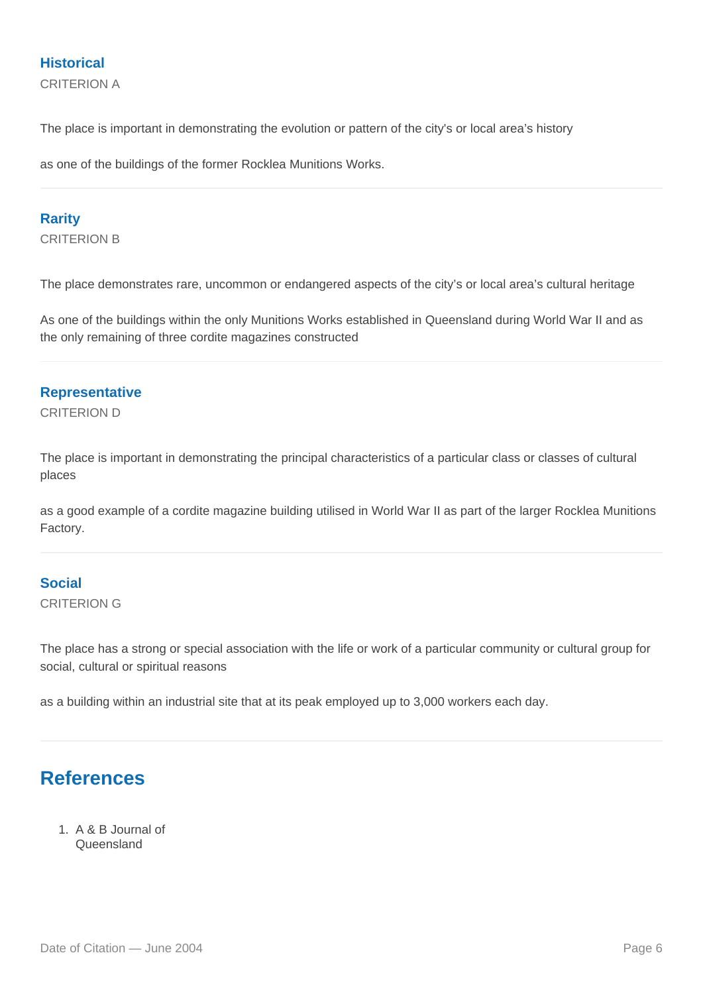### **Historical**

CRITERION A

The place is important in demonstrating the evolution or pattern of the city's or local area's history

as one of the buildings of the former Rocklea Munitions Works.

#### **Rarity**

CRITERION B

The place demonstrates rare, uncommon or endangered aspects of the city's or local area's cultural heritage

As one of the buildings within the only Munitions Works established in Queensland during World War II and as the only remaining of three cordite magazines constructed

#### **Representative**

CRITERION D

The place is important in demonstrating the principal characteristics of a particular class or classes of cultural places

as a good example of a cordite magazine building utilised in World War II as part of the larger Rocklea Munitions Factory.

#### **Social**

CRITERION G

The place has a strong or special association with the life or work of a particular community or cultural group for social, cultural or spiritual reasons

as a building within an industrial site that at its peak employed up to 3,000 workers each day.

## **References**

1. A & B Journal of **Queensland**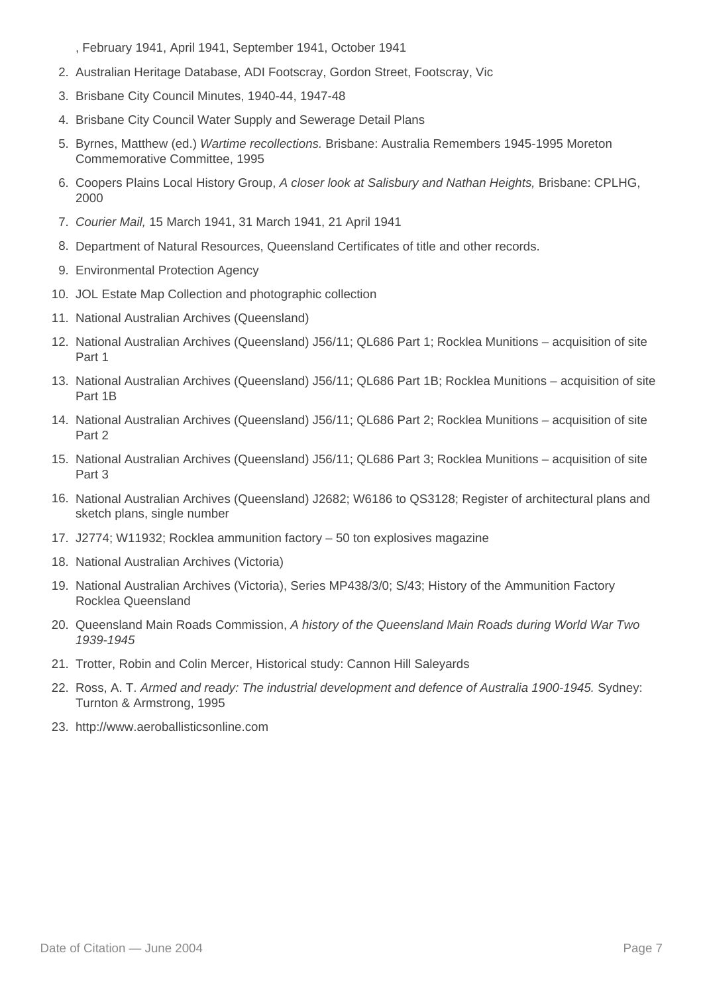, February 1941, April 1941, September 1941, October 1941

- 2. Australian Heritage Database, ADI Footscray, Gordon Street, Footscray, Vic
- 3. Brisbane City Council Minutes, 1940-44, 1947-48
- 4. Brisbane City Council Water Supply and Sewerage Detail Plans
- 5. Byrnes, Matthew (ed.) Wartime recollections. Brisbane: Australia Remembers 1945-1995 Moreton Commemorative Committee, 1995
- 6. Coopers Plains Local History Group, A closer look at Salisbury and Nathan Heights, Brisbane: CPLHG, 2000
- 7. Courier Mail, 15 March 1941, 31 March 1941, 21 April 1941
- 8. Department of Natural Resources, Queensland Certificates of title and other records.
- 9. Environmental Protection Agency
- 10. JOL Estate Map Collection and photographic collection
- 11. National Australian Archives (Queensland)
- 12. National Australian Archives (Queensland) J56/11; QL686 Part 1; Rocklea Munitions acquisition of site Part 1
- 13. National Australian Archives (Queensland) J56/11; QL686 Part 1B; Rocklea Munitions acquisition of site Part 1B
- 14. National Australian Archives (Queensland) J56/11; QL686 Part 2; Rocklea Munitions acquisition of site Part 2
- 15. National Australian Archives (Queensland) J56/11; QL686 Part 3; Rocklea Munitions acquisition of site Part 3
- 16. National Australian Archives (Queensland) J2682; W6186 to QS3128; Register of architectural plans and sketch plans, single number
- 17. J2774; W11932; Rocklea ammunition factory 50 ton explosives magazine
- 18. National Australian Archives (Victoria)
- 19. National Australian Archives (Victoria), Series MP438/3/0; S/43; History of the Ammunition Factory Rocklea Queensland
- 20. Queensland Main Roads Commission, A history of the Queensland Main Roads during World War Two 1939-1945
- 21. Trotter, Robin and Colin Mercer, Historical study: Cannon Hill Saleyards
- 22. Ross, A. T. Armed and ready: The industrial development and defence of Australia 1900-1945. Sydney: Turnton & Armstrong, 1995
- 23. http://www.aeroballisticsonline.com